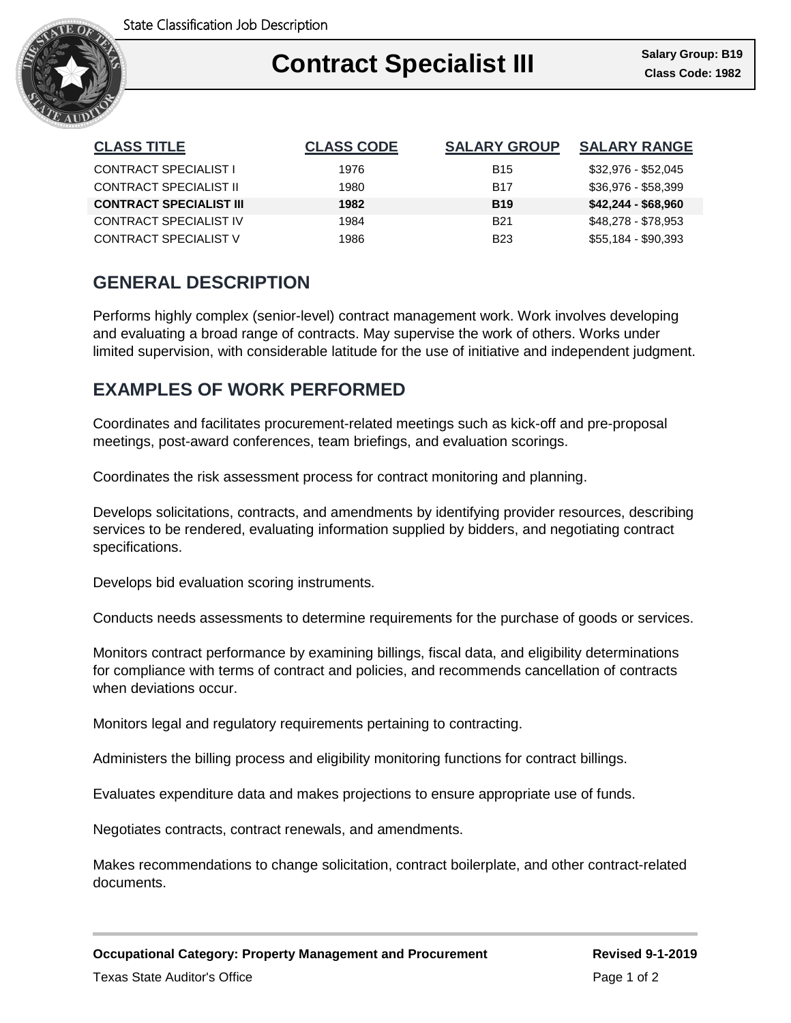

### Ι **Contract Specialist III Class Code: 1982**

| <b>CLASS TITLE</b>             | <b>CLASS CODE</b> | <b>SALARY GROUP</b> | <b>SALARY RANGE</b> |
|--------------------------------|-------------------|---------------------|---------------------|
| CONTRACT SPECIALIST I          | 1976              | <b>B</b> 15         | \$32,976 - \$52,045 |
| <b>CONTRACT SPECIALIST II</b>  | 1980              | <b>B17</b>          | \$36,976 - \$58,399 |
| <b>CONTRACT SPECIALIST III</b> | 1982              | <b>B19</b>          | $$42,244 - $68,960$ |
| CONTRACT SPECIALIST IV         | 1984              | <b>B21</b>          | \$48,278 - \$78,953 |
| CONTRACT SPECIALIST V          | 1986              | <b>B23</b>          | \$55,184 - \$90,393 |

# **GENERAL DESCRIPTION**

Performs highly complex (senior-level) contract management work. Work involves developing and evaluating a broad range of contracts. May supervise the work of others. Works under limited supervision, with considerable latitude for the use of initiative and independent judgment.

## **EXAMPLES OF WORK PERFORMED**

Coordinates and facilitates procurement-related meetings such as kick-off and pre-proposal meetings, post-award conferences, team briefings, and evaluation scorings.

Coordinates the risk assessment process for contract monitoring and planning.

Develops solicitations, contracts, and amendments by identifying provider resources, describing services to be rendered, evaluating information supplied by bidders, and negotiating contract specifications.

Develops bid evaluation scoring instruments.

Conducts needs assessments to determine requirements for the purchase of goods or services.

Monitors contract performance by examining billings, fiscal data, and eligibility determinations for compliance with terms of contract and policies, and recommends cancellation of contracts when deviations occur.

Monitors legal and regulatory requirements pertaining to contracting.

Administers the billing process and eligibility monitoring functions for contract billings.

Evaluates expenditure data and makes projections to ensure appropriate use of funds.

Negotiates contracts, contract renewals, and amendments.

Makes recommendations to change solicitation, contract boilerplate, and other contract-related documents.